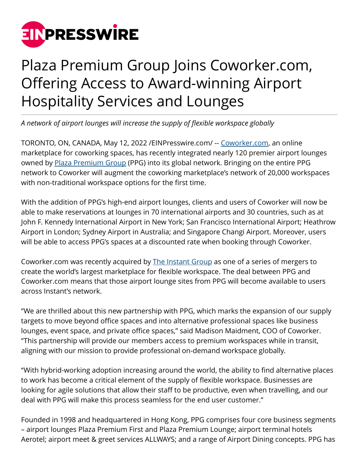

## Plaza Premium Group Joins Coworker.com, Offering Access to Award-winning Airport Hospitality Services and Lounges

*A network of airport lounges will increase the supply of flexible workspace globally*

TORONTO, ON, CANADA, May 12, 2022 [/EINPresswire.com/](http://www.einpresswire.com) -- [Coworker.com,](http://www.coworker.com) an online marketplace for coworking spaces, has recently integrated nearly 120 premier airport lounges owned by **Plaza Premium Group** (PPG) into its global network. Bringing on the entire PPG network to Coworker will augment the coworking marketplace's network of 20,000 workspaces with non-traditional workspace options for the first time.

With the addition of PPG's high-end airport lounges, clients and users of Coworker will now be able to make reservations at lounges in 70 international airports and 30 countries, such as at John F. Kennedy International Airport in New York; San Francisco International Airport; Heathrow Airport in London; Sydney Airport in Australia; and Singapore Changi Airport. Moreover, users will be able to access PPG's spaces at a discounted rate when booking through Coworker.

Coworker.com was recently acquired by [The Instant Group](https://www.theinstantgroup.com/en-us) as one of a series of mergers to create the world's largest marketplace for flexible workspace. The deal between PPG and Coworker.com means that those airport lounge sites from PPG will become available to users across Instant's network.

"We are thrilled about this new partnership with PPG, which marks the expansion of our supply targets to move beyond office spaces and into alternative professional spaces like business lounges, event space, and private office spaces," said Madison Maidment, COO of Coworker. "This partnership will provide our members access to premium workspaces while in transit, aligning with our mission to provide professional on-demand workspace globally.

"With hybrid-working adoption increasing around the world, the ability to find alternative places to work has become a critical element of the supply of flexible workspace. Businesses are looking for agile solutions that allow their staff to be productive, even when travelling, and our deal with PPG will make this process seamless for the end user customer."

Founded in 1998 and headquartered in Hong Kong, PPG comprises four core business segments – airport lounges Plaza Premium First and Plaza Premium Lounge; airport terminal hotels Aerotel; airport meet & greet services ALLWAYS; and a range of Airport Dining concepts. PPG has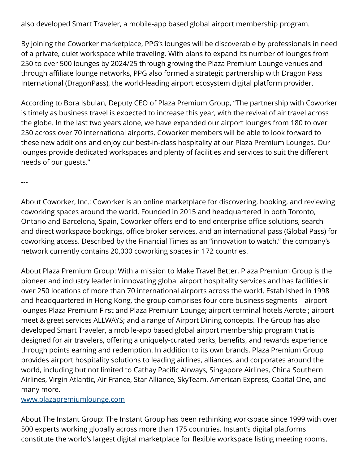also developed Smart Traveler, a mobile-app based global airport membership program.

By joining the Coworker marketplace, PPG's lounges will be discoverable by professionals in need of a private, quiet workspace while traveling. With plans to expand its number of lounges from 250 to over 500 lounges by 2024/25 through growing the Plaza Premium Lounge venues and through affiliate lounge networks, PPG also formed a strategic partnership with Dragon Pass International (DragonPass), the world-leading airport ecosystem digital platform provider.

According to Bora Isbulan, Deputy CEO of Plaza Premium Group, "The partnership with Coworker is timely as business travel is expected to increase this year, with the revival of air travel across the globe. In the last two years alone, we have expanded our airport lounges from 180 to over 250 across over 70 international airports. Coworker members will be able to look forward to these new additions and enjoy our best-in-class hospitality at our Plaza Premium Lounges. Our lounges provide dedicated workspaces and plenty of facilities and services to suit the different needs of our guests."

---

About Coworker, Inc.: Coworker is an online marketplace for discovering, booking, and reviewing coworking spaces around the world. Founded in 2015 and headquartered in both Toronto, Ontario and Barcelona, Spain, Coworker offers end-to-end enterprise office solutions, search and direct workspace bookings, office broker services, and an international pass (Global Pass) for coworking access. Described by the Financial Times as an "innovation to watch," the company's network currently contains 20,000 coworking spaces in 172 countries.

About Plaza Premium Group: With a mission to Make Travel Better, Plaza Premium Group is the pioneer and industry leader in innovating global airport hospitality services and has facilities in over 250 locations of more than 70 international airports across the world. Established in 1998 and headquartered in Hong Kong, the group comprises four core business segments – airport lounges Plaza Premium First and Plaza Premium Lounge; airport terminal hotels Aerotel; airport meet & greet services ALLWAYS; and a range of Airport Dining concepts. The Group has also developed Smart Traveler, a mobile-app based global airport membership program that is designed for air travelers, offering a uniquely-curated perks, benefits, and rewards experience through points earning and redemption. In addition to its own brands, Plaza Premium Group provides airport hospitality solutions to leading airlines, alliances, and corporates around the world, including but not limited to Cathay Pacific Airways, Singapore Airlines, China Southern Airlines, Virgin Atlantic, Air France, Star Alliance, SkyTeam, American Express, Capital One, and many more.

## [www.plazapremiumlounge.com](http://www.plazapremiumlounge.com)

About The Instant Group: The Instant Group has been rethinking workspace since 1999 with over 500 experts working globally across more than 175 countries. Instant's digital platforms constitute the world's largest digital marketplace for flexible workspace listing meeting rooms,